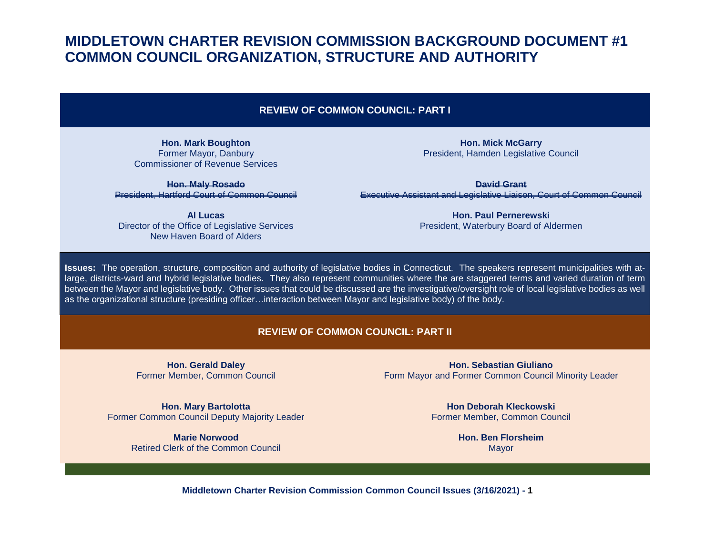#### **REVIEW OF COMMON COUNCIL: PART I**

**Hon. Mark Boughton** Former Mayor, Danbury Commissioner of Revenue Services

**Hon. Maly Rosado** President, Hartford Court of Common Council

**Al Lucas** Director of the Office of Legislative Services New Haven Board of Alders

**Hon. Mick McGarry** President, Hamden Legislative Council

**David Grant** Executive Assistant and Legislative Liaison, Court of Common Council

> **Hon. Paul Pernerewski** President, Waterbury Board of Aldermen

**Issues:** The operation, structure, composition and authority of legislative bodies in Connecticut. The speakers represent municipalities with atlarge, districts-ward and hybrid legislative bodies. They also represent communities where the are staggered terms and varied duration of term between the Mayor and legislative body. Other issues that could be discussed are the investigative/oversight role of local legislative bodies as well as the organizational structure (presiding officer…interaction between Mayor and legislative body) of the body.

#### **REVIEW OF COMMON COUNCIL: PART II**

**Hon. Gerald Daley** Former Member, Common Council

**Hon. Mary Bartolotta** Former Common Council Deputy Majority Leader

> **Marie Norwood** Retired Clerk of the Common Council

**Hon. Sebastian Giuliano** Form Mayor and Former Common Council Minority Leader

> **Hon Deborah Kleckowski** Former Member, Common Council

> > **Hon. Ben Florsheim** Mayor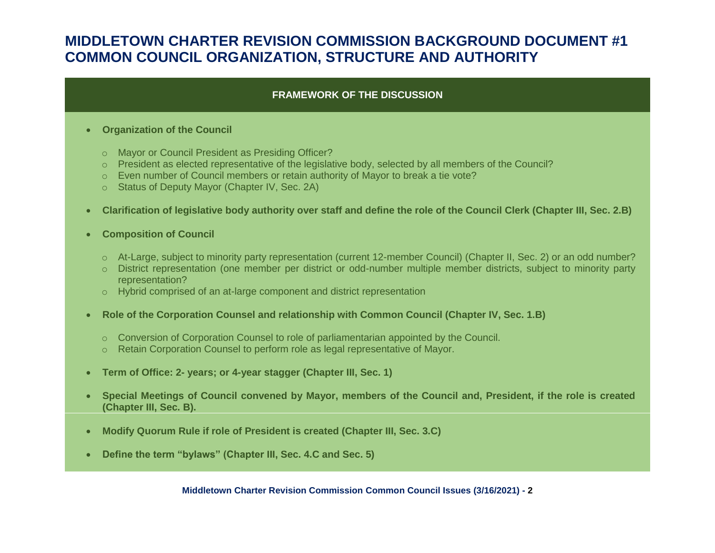### **FRAMEWORK OF THE DISCUSSION**

#### **Organization of the Council**

- o Mayor or Council President as Presiding Officer?
- o President as elected representative of the legislative body, selected by all members of the Council?
- $\circ$  Even number of Council members or retain authority of Mayor to break a tie vote?
- o Status of Deputy Mayor (Chapter IV, Sec. 2A)
- **Clarification of legislative body authority over staff and define the role of the Council Clerk (Chapter III, Sec. 2.B)**
- **Composition of Council**
	- o At-Large, subject to minority party representation (current 12-member Council) (Chapter II, Sec. 2) or an odd number?
	- o District representation (one member per district or odd-number multiple member districts, subject to minority party representation?
	- o Hybrid comprised of an at-large component and district representation
- **Role of the Corporation Counsel and relationship with Common Council (Chapter IV, Sec. 1.B)**
	- $\circ$  Conversion of Corporation Counsel to role of parliamentarian appointed by the Council.
	- o Retain Corporation Counsel to perform role as legal representative of Mayor.
- **Term of Office: 2- years; or 4-year stagger (Chapter III, Sec. 1)**
- **Special Meetings of Council convened by Mayor, members of the Council and, President, if the role is created (Chapter III, Sec. B).**
- **Modify Quorum Rule if role of President is created (Chapter III, Sec. 3.C)**
- **Define the term "bylaws" (Chapter III, Sec. 4.C and Sec. 5)**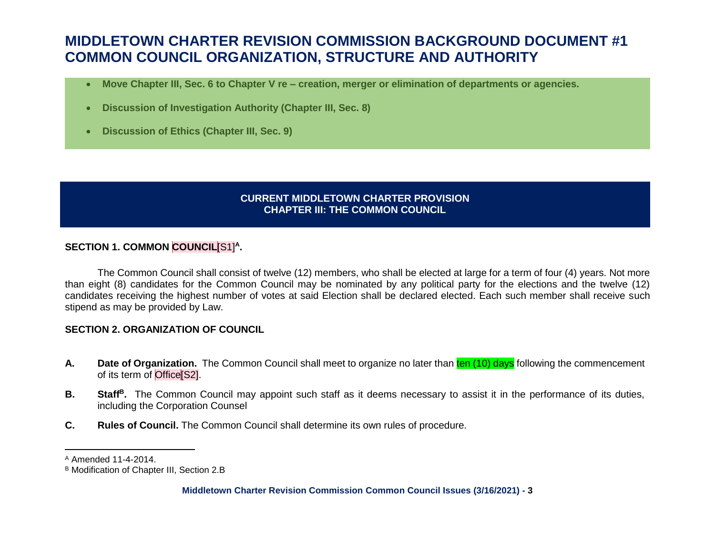- **Move Chapter III, Sec. 6 to Chapter V re – creation, merger or elimination of departments or agencies.**
- **Discussion of Investigation Authority (Chapter III, Sec. 8)**
- **Discussion of Ethics (Chapter III, Sec. 9)**

### **CURRENT MIDDLETOWN CHARTER PROVISION CHAPTER III: THE COMMON COUNCIL**

### **SECTION 1. COMMON COUNCIL**[S1]**<sup>A</sup> .**

The Common Council shall consist of twelve (12) members, who shall be elected at large for a term of four (4) years. Not more than eight (8) candidates for the Common Council may be nominated by any political party for the elections and the twelve (12) candidates receiving the highest number of votes at said Election shall be declared elected. Each such member shall receive such stipend as may be provided by Law.

### **SECTION 2. ORGANIZATION OF COUNCIL**

- A. Date of Organization. The Common Council shall meet to organize no later than ten (10) days following the commencement of its term of Office[S2].
- **B. Staff<sup>B</sup> .** The Common Council may appoint such staff as it deems necessary to assist it in the performance of its duties, including the Corporation Counsel
- **C. Rules of Council.** The Common Council shall determine its own rules of procedure.

l

<sup>A</sup> Amended 11-4-2014.

<sup>B</sup> Modification of Chapter III, Section 2.B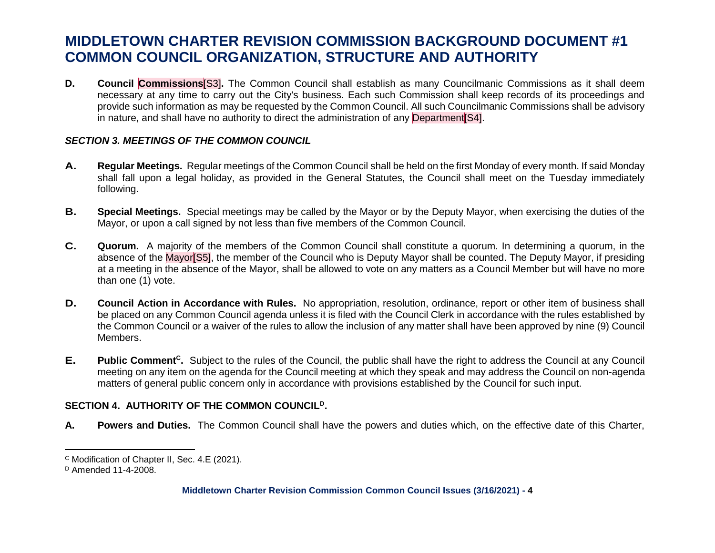**D. Council Commissions**[S3]**.** The Common Council shall establish as many Councilmanic Commissions as it shall deem necessary at any time to carry out the City's business. Each such Commission shall keep records of its proceedings and provide such information as may be requested by the Common Council. All such Councilmanic Commissions shall be advisory in nature, and shall have no authority to direct the administration of any Department S4.

### *SECTION 3. MEETINGS OF THE COMMON COUNCIL*

- **A. Regular Meetings.** Regular meetings of the Common Council shall be held on the first Monday of every month. If said Monday shall fall upon a legal holiday, as provided in the General Statutes, the Council shall meet on the Tuesday immediately following.
- **B. Special Meetings.** Special meetings may be called by the Mayor or by the Deputy Mayor, when exercising the duties of the Mayor, or upon a call signed by not less than five members of the Common Council.
- **C. Quorum.** A majority of the members of the Common Council shall constitute a quorum. In determining a quorum, in the absence of the Mayor<sup>[S5]</sup>, the member of the Council who is Deputy Mayor shall be counted. The Deputy Mayor, if presiding at a meeting in the absence of the Mayor, shall be allowed to vote on any matters as a Council Member but will have no more than one (1) vote.
- **D. Council Action in Accordance with Rules.** No appropriation, resolution, ordinance, report or other item of business shall be placed on any Common Council agenda unless it is filed with the Council Clerk in accordance with the rules established by the Common Council or a waiver of the rules to allow the inclusion of any matter shall have been approved by nine (9) Council Members.
- **E.** Public Comment<sup>c</sup>. Subject to the rules of the Council, the public shall have the right to address the Council at any Council meeting on any item on the agenda for the Council meeting at which they speak and may address the Council on non-agenda matters of general public concern only in accordance with provisions established by the Council for such input.

### **SECTION 4. AUTHORITY OF THE COMMON COUNCIL<sup>D</sup> .**

**A. Powers and Duties.** The Common Council shall have the powers and duties which, on the effective date of this Charter,

l

<sup>C</sup> Modification of Chapter II, Sec. 4.E (2021).

 $D$  Amended 11-4-2008.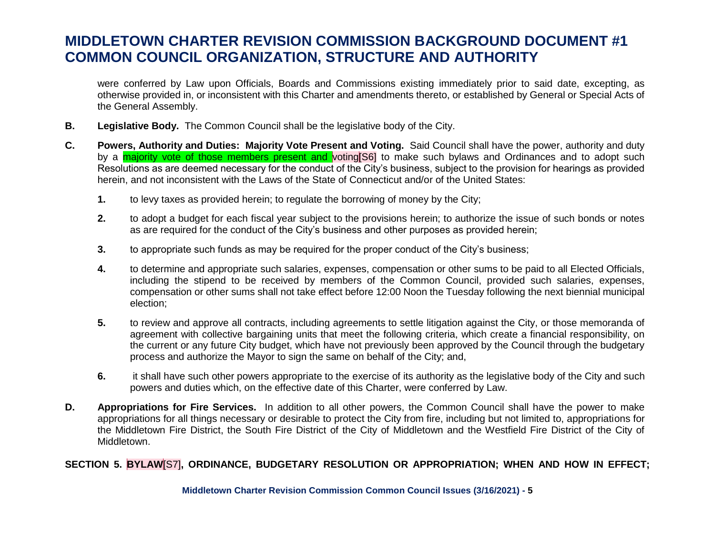were conferred by Law upon Officials, Boards and Commissions existing immediately prior to said date, excepting, as otherwise provided in, or inconsistent with this Charter and amendments thereto, or established by General or Special Acts of the General Assembly.

- **B. Legislative Body.** The Common Council shall be the legislative body of the City.
- **C. Powers, Authority and Duties: Majority Vote Present and Voting.** Said Council shall have the power, authority and duty by a **majority vote of those members present and** voting<sup>[S6]</sup> to make such bylaws and Ordinances and to adopt such Resolutions as are deemed necessary for the conduct of the City's business, subject to the provision for hearings as provided herein, and not inconsistent with the Laws of the State of Connecticut and/or of the United States:
	- **1.** to levy taxes as provided herein; to regulate the borrowing of money by the City;
	- **2.** to adopt a budget for each fiscal year subject to the provisions herein; to authorize the issue of such bonds or notes as are required for the conduct of the City's business and other purposes as provided herein;
	- **3.** to appropriate such funds as may be required for the proper conduct of the City's business;
	- **4.** to determine and appropriate such salaries, expenses, compensation or other sums to be paid to all Elected Officials, including the stipend to be received by members of the Common Council, provided such salaries, expenses, compensation or other sums shall not take effect before 12:00 Noon the Tuesday following the next biennial municipal election;
	- **5.** to review and approve all contracts, including agreements to settle litigation against the City, or those memoranda of agreement with collective bargaining units that meet the following criteria, which create a financial responsibility, on the current or any future City budget, which have not previously been approved by the Council through the budgetary process and authorize the Mayor to sign the same on behalf of the City; and,
	- **6.** it shall have such other powers appropriate to the exercise of its authority as the legislative body of the City and such powers and duties which, on the effective date of this Charter, were conferred by Law.
- **D. Appropriations for Fire Services.** In addition to all other powers, the Common Council shall have the power to make appropriations for all things necessary or desirable to protect the City from fire, including but not limited to, appropriations for the Middletown Fire District, the South Fire District of the City of Middletown and the Westfield Fire District of the City of Middletown.

### **SECTION 5. BYLAW**[S7]**, ORDINANCE, BUDGETARY RESOLUTION OR APPROPRIATION; WHEN AND HOW IN EFFECT;**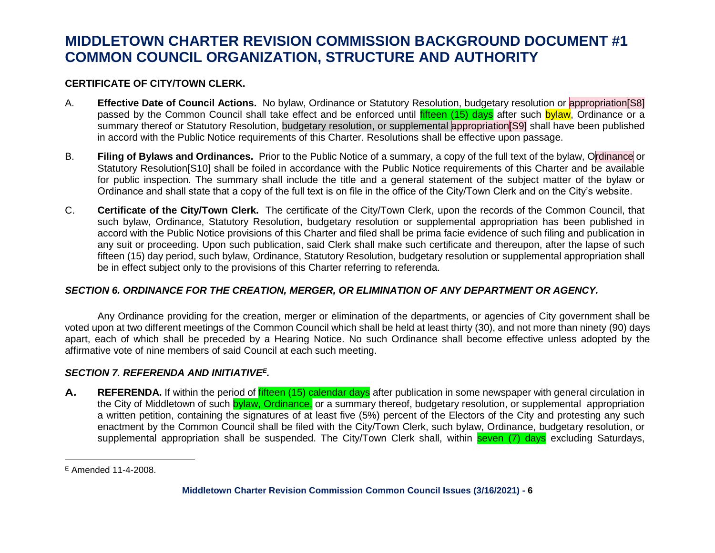### **CERTIFICATE OF CITY/TOWN CLERK.**

- A. **Effective Date of Council Actions.** No bylaw, Ordinance or Statutory Resolution, budgetary resolution or appropriation[S8] passed by the Common Council shall take effect and be enforced until *fifteen (15) days* after such bylaw. Ordinance or a summary thereof or Statutory Resolution, budgetary resolution, or supplemental appropriation<sup>[S9]</sup> shall have been published in accord with the Public Notice requirements of this Charter. Resolutions shall be effective upon passage.
- B. **Filing of Bylaws and Ordinances.** Prior to the Public Notice of a summary, a copy of the full text of the bylaw, Ordinance or Statutory Resolution[S10] shall be foiled in accordance with the Public Notice requirements of this Charter and be available for public inspection. The summary shall include the title and a general statement of the subject matter of the bylaw or Ordinance and shall state that a copy of the full text is on file in the office of the City/Town Clerk and on the City's website.
- C. **Certificate of the City/Town Clerk.** The certificate of the City/Town Clerk, upon the records of the Common Council, that such bylaw, Ordinance, Statutory Resolution, budgetary resolution or supplemental appropriation has been published in accord with the Public Notice provisions of this Charter and filed shall be prima facie evidence of such filing and publication in any suit or proceeding. Upon such publication, said Clerk shall make such certificate and thereupon, after the lapse of such fifteen (15) day period, such bylaw, Ordinance, Statutory Resolution, budgetary resolution or supplemental appropriation shall be in effect subject only to the provisions of this Charter referring to referenda.

### *SECTION 6. ORDINANCE FOR THE CREATION, MERGER, OR ELIMINATION OF ANY DEPARTMENT OR AGENCY.*

Any Ordinance providing for the creation, merger or elimination of the departments, or agencies of City government shall be voted upon at two different meetings of the Common Council which shall be held at least thirty (30), and not more than ninety (90) days apart, each of which shall be preceded by a Hearing Notice. No such Ordinance shall become effective unless adopted by the affirmative vote of nine members of said Council at each such meeting.

### *SECTION 7. REFERENDA AND INITIATIVE<sup>E</sup> .*

A. REFERENDA. If within the period of *fifteen* (15) calendar days after publication in some newspaper with general circulation in the City of Middletown of such bylaw, Ordinance, or a summary thereof, budgetary resolution, or supplemental appropriation a written petition, containing the signatures of at least five (5%) percent of the Electors of the City and protesting any such enactment by the Common Council shall be filed with the City/Town Clerk, such bylaw, Ordinance, budgetary resolution, or supplemental appropriation shall be suspended. The City/Town Clerk shall, within seven (7) days excluding Saturdays,

 $\overline{a}$ 

 $E$  Amended 11-4-2008.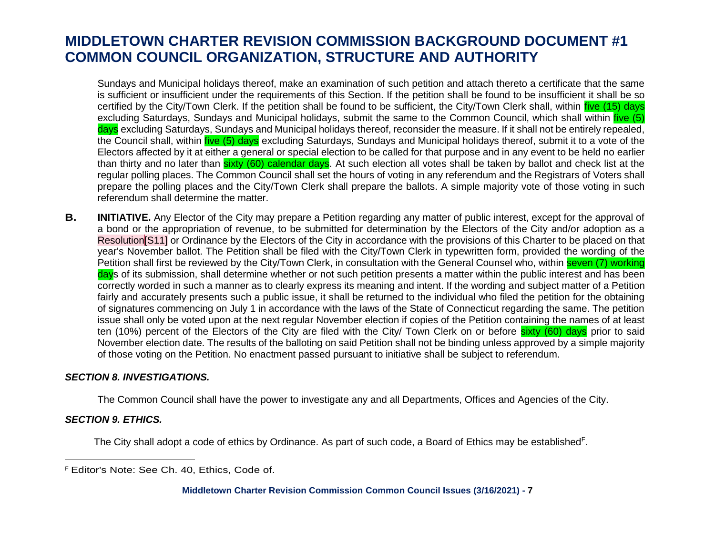Sundays and Municipal holidays thereof, make an examination of such petition and attach thereto a certificate that the same is sufficient or insufficient under the requirements of this Section. If the petition shall be found to be insufficient it shall be so certified by the City/Town Clerk. If the petition shall be found to be sufficient, the City/Town Clerk shall, within *five* (15) days excluding Saturdays, Sundays and Municipal holidays, submit the same to the Common Council, which shall within five (5) days excluding Saturdays, Sundays and Municipal holidays thereof, reconsider the measure. If it shall not be entirely repealed, the Council shall, within five (5) days excluding Saturdays, Sundays and Municipal holidays thereof, submit it to a vote of the Electors affected by it at either a general or special election to be called for that purpose and in any event to be held no earlier than thirty and no later than sixty (60) calendar days. At such election all votes shall be taken by ballot and check list at the regular polling places. The Common Council shall set the hours of voting in any referendum and the Registrars of Voters shall prepare the polling places and the City/Town Clerk shall prepare the ballots. A simple majority vote of those voting in such referendum shall determine the matter.

**B. INITIATIVE.** Any Elector of the City may prepare a Petition regarding any matter of public interest, except for the approval of a bond or the appropriation of revenue, to be submitted for determination by the Electors of the City and/or adoption as a Resolution[S11] or Ordinance by the Electors of the City in accordance with the provisions of this Charter to be placed on that year's November ballot. The Petition shall be filed with the City/Town Clerk in typewritten form, provided the wording of the Petition shall first be reviewed by the City/Town Clerk, in consultation with the General Counsel who, within seven (7) working days of its submission, shall determine whether or not such petition presents a matter within the public interest and has been correctly worded in such a manner as to clearly express its meaning and intent. If the wording and subject matter of a Petition fairly and accurately presents such a public issue, it shall be returned to the individual who filed the petition for the obtaining of signatures commencing on July 1 in accordance with the laws of the State of Connecticut regarding the same. The petition issue shall only be voted upon at the next regular November election if copies of the Petition containing the names of at least ten (10%) percent of the Electors of the City are filed with the City/ Town Clerk on or before sixty (60) days prior to said November election date. The results of the balloting on said Petition shall not be binding unless approved by a simple majority of those voting on the Petition. No enactment passed pursuant to initiative shall be subject to referendum.

#### *SECTION 8. INVESTIGATIONS.*

The Common Council shall have the power to investigate any and all Departments, Offices and Agencies of the City.

#### *SECTION 9. ETHICS.*

 $\overline{a}$ 

The City shall adopt a code of ethics by Ordinance. As part of such code, a Board of Ethics may be established<sup>F</sup>.

<sup>F</sup> Editor's Note: See Ch. 40, Ethics, Code of.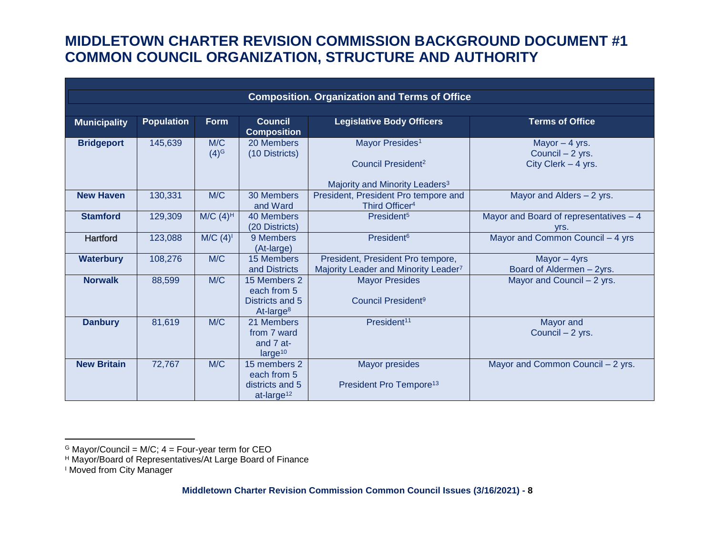| <b>Composition. Organization and Terms of Office</b> |                   |                         |                                                                          |                                                                                                             |                                                            |  |  |  |  |
|------------------------------------------------------|-------------------|-------------------------|--------------------------------------------------------------------------|-------------------------------------------------------------------------------------------------------------|------------------------------------------------------------|--|--|--|--|
| <b>Municipality</b>                                  | <b>Population</b> | <b>Form</b>             | Council<br><b>Composition</b>                                            | <b>Legislative Body Officers</b>                                                                            | <b>Terms of Office</b>                                     |  |  |  |  |
| <b>Bridgeport</b>                                    | 145,639           | M/C<br>(4) <sup>G</sup> | 20 Members<br>(10 Districts)                                             | Mayor Presides <sup>1</sup><br>Council President <sup>2</sup><br>Majority and Minority Leaders <sup>3</sup> | Mayor $-4$ yrs.<br>Council - 2 yrs.<br>City Clerk - 4 yrs. |  |  |  |  |
| <b>New Haven</b>                                     | 130,331           | M/C                     | 30 Members<br>and Ward                                                   | President, President Pro tempore and<br>Third Officer <sup>4</sup>                                          | Mayor and Alders - 2 yrs.                                  |  |  |  |  |
| <b>Stamford</b>                                      | 129,309           | $M/C$ (4) <sup>H</sup>  | 40 Members<br>(20 Districts)                                             | President <sup>5</sup>                                                                                      | Mayor and Board of representatives - 4<br>Vrs.             |  |  |  |  |
| Hartford                                             | 123,088           | $M/C$ (4) <sup>1</sup>  | 9 Members<br>(At-large)                                                  | President <sup>6</sup>                                                                                      | Mayor and Common Council - 4 yrs                           |  |  |  |  |
| <b>Waterbury</b>                                     | 108,276           | M/C                     | 15 Members<br>and Districts                                              | President, President Pro tempore,<br>Majority Leader and Minority Leader7                                   | Mayor - 4yrs<br>Board of Aldermen - 2yrs.                  |  |  |  |  |
| <b>Norwalk</b>                                       | 88,599            | M/C                     | 15 Members 2<br>each from 5<br>Districts and 5<br>At-large <sup>8</sup>  | <b>Mayor Presides</b><br>Council President <sup>9</sup>                                                     | Mayor and Council - 2 yrs.                                 |  |  |  |  |
| <b>Danbury</b>                                       | 81,619            | M/C                     | 21 Members<br>from 7 ward<br>and 7 at-<br>large <sup>10</sup>            | President <sup>11</sup>                                                                                     | Mayor and<br>Council - 2 yrs.                              |  |  |  |  |
| <b>New Britain</b>                                   | 72,767            | M/C                     | 15 members 2<br>each from 5<br>districts and 5<br>at-large <sup>12</sup> | <b>Mayor presides</b><br>President Pro Tempore <sup>13</sup>                                                | Mayor and Common Council - 2 yrs.                          |  |  |  |  |

 $\overline{\phantom{a}}$ 

<sup>&</sup>lt;sup>G</sup> Mayor/Council = M/C; 4 = Four-year term for CEO

<sup>H</sup> Mayor/Board of Representatives/At Large Board of Finance

<sup>&</sup>lt;sup>I</sup> Moved from City Manager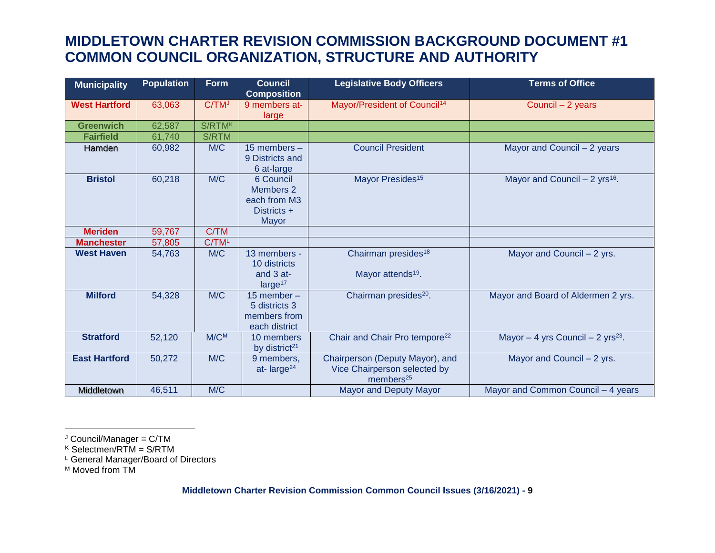| <b>Municipality</b>  | <b>Population</b> | <b>Form</b>       | <b>Council</b><br><b>Composition</b>                                  | <b>Legislative Body Officers</b>                                                         | <b>Terms of Office</b>                        |
|----------------------|-------------------|-------------------|-----------------------------------------------------------------------|------------------------------------------------------------------------------------------|-----------------------------------------------|
| <b>West Hartford</b> | 63,063            | C/TM <sup>J</sup> | 9 members at-<br>large                                                | Mayor/President of Council <sup>14</sup>                                                 | Council - 2 years                             |
| <b>Greenwich</b>     | 62,587            | S/RTMK            |                                                                       |                                                                                          |                                               |
| <b>Fairfield</b>     | 61,740            | S/RTM             |                                                                       |                                                                                          |                                               |
| Hamden               | 60,982            | M/C               | 15 members $-$<br>9 Districts and<br>6 at-large                       | <b>Council President</b>                                                                 | Mayor and Council - 2 years                   |
| <b>Bristol</b>       | 60,218            | M/C               | 6 Council<br><b>Members 2</b><br>each from M3<br>Districts +<br>Mayor | Mayor Presides <sup>15</sup>                                                             | Mayor and Council $- 2$ yrs <sup>16</sup> .   |
| <b>Meriden</b>       | 59,767            | C/TM              |                                                                       |                                                                                          |                                               |
| <b>Manchester</b>    | 57,805            | C/TM <sup>L</sup> |                                                                       |                                                                                          |                                               |
| <b>West Haven</b>    | 54,763            | M/C               | 13 members -<br>10 districts<br>and 3 at-<br>large <sup>17</sup>      | Chairman presides <sup>18</sup><br>Mayor attends <sup>19</sup> .                         | Mayor and Council - 2 yrs.                    |
| <b>Milford</b>       | 54,328            | M/C               | 15 member $-$<br>5 districts 3<br>members from<br>each district       | Chairman presides <sup>20</sup> .                                                        | Mayor and Board of Aldermen 2 yrs.            |
| <b>Stratford</b>     | 52,120            | $M/C^{M}$         | 10 members<br>by district <sup>21</sup>                               | Chair and Chair Pro tempore <sup>22</sup>                                                | Mayor - 4 yrs Council - 2 yrs <sup>23</sup> . |
| <b>East Hartford</b> | 50,272            | M/C               | 9 members,<br>at-large $24$                                           | Chairperson (Deputy Mayor), and<br>Vice Chairperson selected by<br>members <sup>25</sup> | Mayor and Council - 2 yrs.                    |
| Middletown           | 46,511            | M/C               |                                                                       | <b>Mayor and Deputy Mayor</b>                                                            | Mayor and Common Council - 4 years            |

J Council/Manager = C/TM

<sup>K</sup> Selectmen/RTM = S/RTM

L General Manager/Board of Directors

M Moved from TM

 $\overline{\phantom{a}}$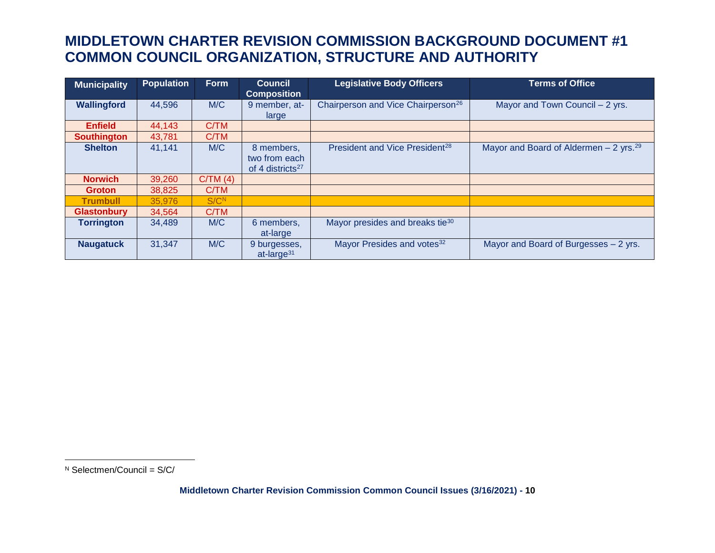| <b>Municipality</b> | <b>Population</b> | Form             | <b>Council</b><br><b>Composition</b>                        | <b>Legislative Body Officers</b>               | <b>Terms of Office</b>                              |
|---------------------|-------------------|------------------|-------------------------------------------------------------|------------------------------------------------|-----------------------------------------------------|
| Wallingford         | 44,596            | M/C              | 9 member, at-<br>large                                      | Chairperson and Vice Chairperson <sup>26</sup> | Mayor and Town Council - 2 yrs.                     |
| <b>Enfield</b>      | 44,143            | C/TM             |                                                             |                                                |                                                     |
| <b>Southington</b>  | 43,781            | C/TM             |                                                             |                                                |                                                     |
| <b>Shelton</b>      | 41,141            | M/C              | 8 members,<br>two from each<br>of 4 districts <sup>27</sup> | President and Vice President <sup>28</sup>     | Mayor and Board of Aldermen $-2$ yrs. <sup>29</sup> |
| <b>Norwich</b>      | 39,260            | C/TM(4)          |                                                             |                                                |                                                     |
| <b>Groton</b>       | 38,825            | C/TM             |                                                             |                                                |                                                     |
| <b>Trumbull</b>     | 35,976            | S/C <sup>N</sup> |                                                             |                                                |                                                     |
| <b>Glastonbury</b>  | 34,564            | C/TM             |                                                             |                                                |                                                     |
| <b>Torrington</b>   | 34,489            | M/C              | 6 members,<br>at-large                                      | Mayor presides and breaks tie <sup>30</sup>    |                                                     |
| <b>Naugatuck</b>    | 31,347            | M/C              | 9 burgesses,<br>at-large $31$                               | Mayor Presides and votes <sup>32</sup>         | Mayor and Board of Burgesses - 2 yrs.               |

 $\overline{a}$ 

 $N$  Selectmen/Council = S/C/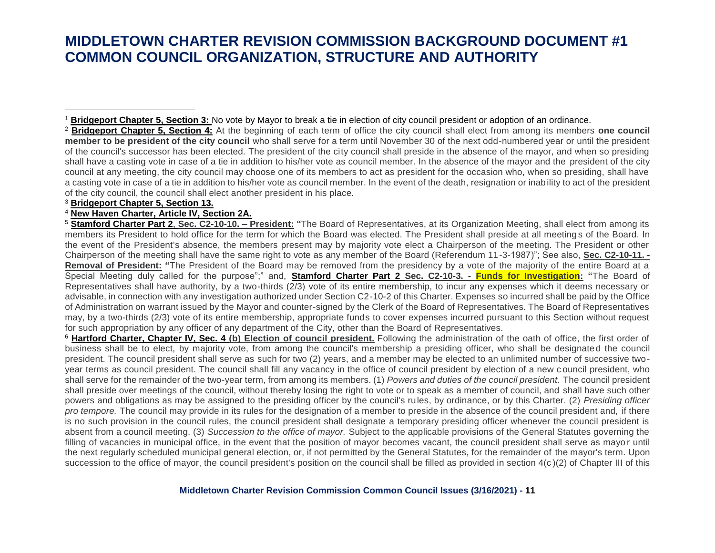<sup>2</sup> **Bridgeport Chapter 5, Section 4:** At the beginning of each term of office the city council shall elect from among its members **one council member to be president of the city council** who shall serve for a term until November 30 of the next odd-numbered year or until the president of the council's successor has been elected. The president of the city council shall preside in the absence of the mayor, and when so presiding shall have a casting vote in case of a tie in addition to his/her vote as council member. In the absence of the mayor and the president of the city council at any meeting, the city council may choose one of its members to act as president for the occasion who, when so presiding, shall have a casting vote in case of a tie in addition to his/her vote as council member. In the event of the death, resignation or inability to act of the president of the city council, the council shall elect another president in his place.

#### <sup>3</sup> **Bridgeport Chapter 5, Section 13.**

 $\overline{\phantom{a}}$ 

#### <sup>4</sup> **New Haven Charter, Article IV, Section 2A.**

<sup>5</sup> **Stamford Charter Part 2**, **Sec. C2-10-10. – President: "**The Board of Representatives, at its Organization Meeting, shall elect from among its members its President to hold office for the term for which the Board was elected. The President shall preside at all meetings of the Board. In the event of the President's absence, the members present may by majority vote elect a Chairperson of the meeting. The President or other Chairperson of the meeting shall have the same right to vote as any member of the Board (Referendum 11-3-1987)"; See also, **Sec. C2-10-11. - Removal of President: "**The President of the Board may be removed from the presidency by a vote of the majority of the entire Board at a Special Meeting duly called for the purpose";" and, **Stamford Charter Part 2 Sec. C2-10-3. - Funds for Investigation: "**The Board of Representatives shall have authority, by a two-thirds (2/3) vote of its entire membership, to incur any expenses which it deems necessary or advisable, in connection with any investigation authorized under Section C2-10-2 of this Charter. Expenses so incurred shall be paid by the Office of Administration on warrant issued by the Mayor and counter-signed by the Clerk of the Board of Representatives. The Board of Representatives may, by a two-thirds (2/3) vote of its entire membership, appropriate funds to cover expenses incurred pursuant to this Section without request for such appropriation by any officer of any department of the City, other than the Board of Representatives.

<sup>6</sup> Hartford Charter, Chapter IV, Sec. 4 (b) Election of council president. Following the administration of the oath of office, the first order of business shall be to elect, by majority vote, from among the council's membership a presiding officer, who shall be designate d the council president. The council president shall serve as such for two (2) years, and a member may be elected to an unlimited number of successive twoyear terms as council president. The council shall fill any vacancy in the office of council president by election of a new c ouncil president, who shall serve for the remainder of the two-year term, from among its members. (1) *Powers and duties of the council president.* The council president shall preside over meetings of the council, without thereby losing the right to vote or to speak as a member of council, and shall have such other powers and obligations as may be assigned to the presiding officer by the council's rules, by ordinance, or by this Charter. (2) *Presiding officer pro tempore.* The council may provide in its rules for the designation of a member to preside in the absence of the council president and, if there is no such provision in the council rules, the council president shall designate a temporary presiding officer whenever the council president is absent from a council meeting. (3) *Succession to the office of mayor.* Subject to the applicable provisions of the General Statutes governing the filling of vacancies in municipal office, in the event that the position of mayor becomes vacant, the council president shall serve as mayor until the next regularly scheduled municipal general election, or, if not permitted by the General Statutes, for the remainder of the mayor's term. Upon succession to the office of mayor, the council president's position on the council shall be filled as provided in section  $4(c)(2)$  of Chapter III of this

<sup>1</sup> **Bridgeport Chapter 5, Section 3:** No vote by Mayor to break a tie in election of city council president or adoption of an ordinance.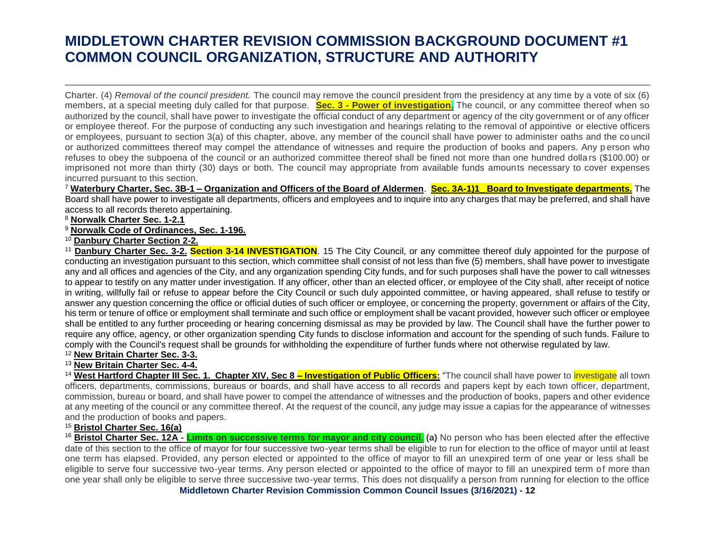Charter. (4) *Removal of the council president.* The council may remove the council president from the presidency at any time by a vote of six (6) members, at a special meeting duly called for that purpose. **Sec. 3 - Power of investigation.** The council, or any committee thereof when so authorized by the council, shall have power to investigate the official conduct of any department or agency of the city government or of any officer or employee thereof. For the purpose of conducting any such investigation and hearings relating to the removal of appointive or elective officers or employees, pursuant to section 3(a) of this chapter, above, any member of the council shall have power to administer oaths and the co uncil or authorized committees thereof may compel the attendance of witnesses and require the production of books and papers. Any p erson who refuses to obey the subpoena of the council or an authorized committee thereof shall be fined not more than one hundred dolla rs (\$100.00) or imprisoned not more than thirty (30) days or both. The council may appropriate from available funds amounts necessary to cover expenses incurred pursuant to this section.

<sup>7</sup> **Waterbury Charter, Sec. 3B-1 – Organization and Officers of the Board of Aldermen**. **Sec. 3A-1)1\_ Board to Investigate departments.** The Board shall have power to investigate all departments, officers and employees and to inquire into any charges that may be preferred, and shall have access to all records thereto appertaining.

#### <sup>8</sup> **Norwalk Charter Sec. 1-2.1**

 $\overline{a}$ 

<sup>9</sup> **Norwalk Code of Ordinances, Sec. 1-196.**

<sup>10</sup> **Danbury Charter Section 2-2.**

<sup>11</sup> Danbury Charter Sec. 3-2. Section 3-14 INVESTIGATION. 15 The City Council, or any committee thereof duly appointed for the purpose of conducting an investigation pursuant to this section, which committee shall consist of not less than five (5) members, shall have power to investigate any and all offices and agencies of the City, and any organization spending City funds, and for such purposes shall have the power to call witnesses to appear to testify on any matter under investigation. If any officer, other than an elected officer, or employee of the City shall, after receipt of notice in writing, willfully fail or refuse to appear before the City Council or such duly appointed committee, or having appeared, shall refuse to testify or answer any question concerning the office or official duties of such officer or employee, or concerning the property, government or affairs of the City, his term or tenure of office or employment shall terminate and such office or employment shall be vacant provided, however such officer or employee shall be entitled to any further proceeding or hearing concerning dismissal as may be provided by law. The Council shall have the further power to require any office, agency, or other organization spending City funds to disclose information and account for the spending of such funds. Failure to comply with the Council's request shall be grounds for withholding the expenditure of further funds where not otherwise regulated by law.

<sup>12</sup> **New Britain Charter Sec. 3-3.**

<sup>13</sup> **New Britain Charter Sec. 4-4.**

<sup>14</sup> West Hartford Chapter III Sec. 1. Chapter XIV, Sec 8 – Investigation of Public Officers: "The council shall have power to *investigate* all town officers, departments, commissions, bureaus or boards, and shall have access to all records and papers kept by each town officer, department, commission, bureau or board, and shall have power to compel the attendance of witnesses and the production of books, papers and other evidence at any meeting of the council or any committee thereof. At the request of the council, any judge may issue a capias for the appearance of witnesses and the production of books and papers.

<sup>15</sup> **Bristol Charter Sec. 16(a)**

**Middletown Charter Revision Commission Common Council Issues (3/16/2021) - 12** <sup>16</sup> **Bristol Charter Sec. 12A - Limits on successive terms for mayor and city council. (a)** No person who has been elected after the effective date of this section to the office of mayor for four successive two-year terms shall be eligible to run for election to the office of mayor until at least one term has elapsed. Provided, any person elected or appointed to the office of mayor to fill an unexpired term of one year or less shall be eligible to serve four successive two-year terms. Any person elected or appointed to the office of mayor to fill an unexpired term of more than one year shall only be eligible to serve three successive two-year terms. This does not disqualify a person from running for election to the office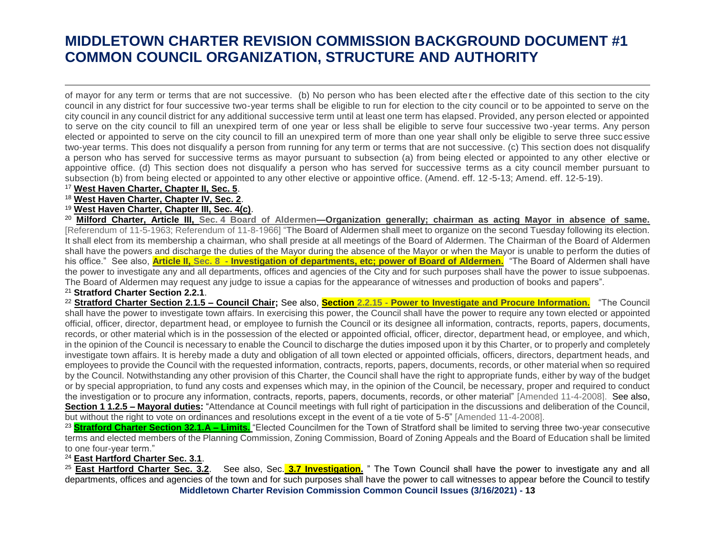of mayor for any term or terms that are not successive. (b) No person who has been elected after the effective date of this section to the city council in any district for four successive two-year terms shall be eligible to run for election to the city council or to be appointed to serve on the city council in any council district for any additional successive term until at least one term has elapsed. Provided, any person elected or appointed to serve on the city council to fill an unexpired term of one year or less shall be eligible to serve four successive two -year terms. Any person elected or appointed to serve on the city council to fill an unexpired term of more than one year shall only be eligible to serve three succ essive two-year terms. This does not disqualify a person from running for any term or terms that are not successive. (c) This section does not disqualify a person who has served for successive terms as mayor pursuant to subsection (a) from being elected or appointed to any other elective or appointive office. (d) This section does not disqualify a person who has served for successive terms as a city council member pursuant to subsection (b) from being elected or appointed to any other elective or appointive office. (Amend. eff. 12-5-13; Amend. eff. 12-5-19).

#### <sup>17</sup> **West Haven Charter, Chapter II, Sec. 5**.

 $\overline{a}$ 

<sup>18</sup> **West Haven Charter, Chapter IV, Sec. 2**.

### <sup>19</sup> **West Haven Charter, Chapter III, Sec. 4(c)**.

<sup>20</sup> **Milford Charter, Article III, Sec. [4 Board of Aldermen—Organization generally; chairman as acting Mayor in absence of same.](https://ecode360.com/14500831#14500832)** [Referendum of 11-5-1963; Referendum of 11-8-1966] "The Board of Aldermen shall meet to organize on the second Tuesday following its election. It shall elect from its membership a chairman, who shall preside at all meetings of the Board of Aldermen. The Chairman of the Board of Aldermen shall have the powers and discharge the duties of the Mayor during the absence of the Mayor or when the Mayor is unable to perform the duties of his office." See also, **Article II, Sec. 8 - [Investigation of departments, etc; power of Board of Aldermen.](https://ecode360.com/14500831#14500840)** "The Board of Aldermen shall have the power to investigate any and all departments, offices and agencies of the City and for such purposes shall have the power to issue subpoenas. The Board of Aldermen may request any judge to issue a capias for the appearance of witnesses and production of books and papers".

#### <sup>21</sup> **Stratford Charter Section 2.2.1**.

<sup>22</sup> **Stratford Charter Section 2.1.5 – Council Chair;** See also, **Section 2.2.15 - [Power to Investigate and Procure Information.](https://www.ecode360.com/9207705#9207726)** "The Council shall have the power to investigate town affairs. In exercising this power, the Council shall have the power to require any town elected or appointed official, officer, director, department head, or employee to furnish the Council or its designee all information, contracts, reports, papers, documents, records, or other material which is in the possession of the elected or appointed official, officer, director, department head, or employee, and which, in the opinion of the Council is necessary to enable the Council to discharge the duties imposed upon it by this Charter, or to properly and completely investigate town affairs. It is hereby made a duty and obligation of all town elected or appointed officials, officers, directors, department heads, and employees to provide the Council with the requested information, contracts, reports, papers, documents, records, or other material when so required by the Council. Notwithstanding any other provision of this Charter, the Council shall have the right to appropriate funds, either by way of the budget or by special appropriation, to fund any costs and expenses which may, in the opinion of the Council, be necessary, proper and required to conduct the investigation or to procure any information, contracts, reports, papers, documents, records, or other material" [Amended 11-4-2008]. See also, **Section 1 1.2.5 – Mayoral duties:** "Attendance at Council meetings with full right of participation in the discussions and deliberation of the Council, but without the right to vote on ordinances and resolutions except in the event of a tie vote of 5-5" [Amended 11-4-2008].

<sup>23</sup> **Stratford Charter Section 32.1.A – Limits.** "Elected Councilmen for the Town of Stratford shall be limited to serving three two-year consecutive terms and elected members of the Planning Commission, Zoning Commission, Board of Zoning Appeals and the Board of Education shall be limited to one four-year term."

### <sup>24</sup> **East Hartford Charter Sec. 3.1**.

**Middletown Charter Revision Commission Common Council Issues (3/16/2021) - 13** <sup>25</sup> **East Hartford Charter Sec. 3.2**. See also, Sec. **3.7 Investigation.** " The Town Council shall have the power to investigate any and all departments, offices and agencies of the town and for such purposes shall have the power to call witnesses to appear before the Council to testify